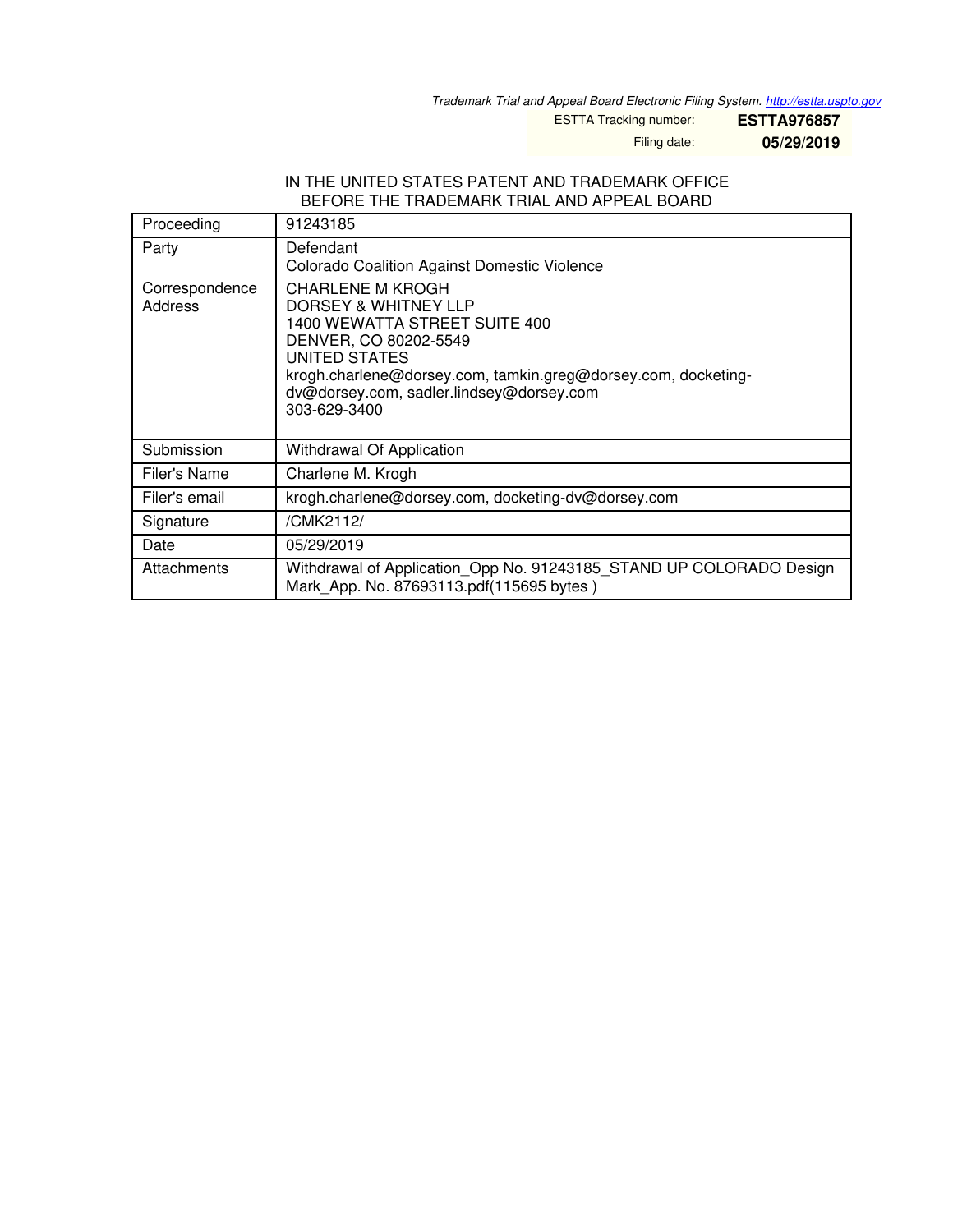*Trademark Trial and Appeal Board Electronic Filing System. <http://estta.uspto.gov>*

ESTTA Tracking number: **ESTTA976857**

Filing date: **05/29/2019**

## IN THE UNITED STATES PATENT AND TRADEMARK OFFICE BEFORE THE TRADEMARK TRIAL AND APPEAL BOARD

| Proceeding                | 91243185                                                                                                                                                                                                                                                |  |
|---------------------------|---------------------------------------------------------------------------------------------------------------------------------------------------------------------------------------------------------------------------------------------------------|--|
| Party                     | Defendant<br><b>Colorado Coalition Against Domestic Violence</b>                                                                                                                                                                                        |  |
| Correspondence<br>Address | <b>CHARLENE M KROGH</b><br>DORSEY & WHITNEY LLP<br>1400 WEWATTA STREET SUITE 400<br>DENVER, CO 80202-5549<br>UNITED STATES<br>krogh.charlene@dorsey.com, tamkin.greg@dorsey.com, docketing-<br>dv@dorsey.com, sadler.lindsey@dorsey.com<br>303-629-3400 |  |
| Submission                | Withdrawal Of Application                                                                                                                                                                                                                               |  |
| Filer's Name              | Charlene M. Krogh                                                                                                                                                                                                                                       |  |
| Filer's email             | krogh.charlene@dorsey.com, docketing-dv@dorsey.com                                                                                                                                                                                                      |  |
| Signature                 | /CMK2112/                                                                                                                                                                                                                                               |  |
| Date                      | 05/29/2019                                                                                                                                                                                                                                              |  |
| Attachments               | Withdrawal of Application_Opp No. 91243185_STAND UP COLORADO Design<br>Mark App. No. 87693113.pdf(115695 bytes)                                                                                                                                         |  |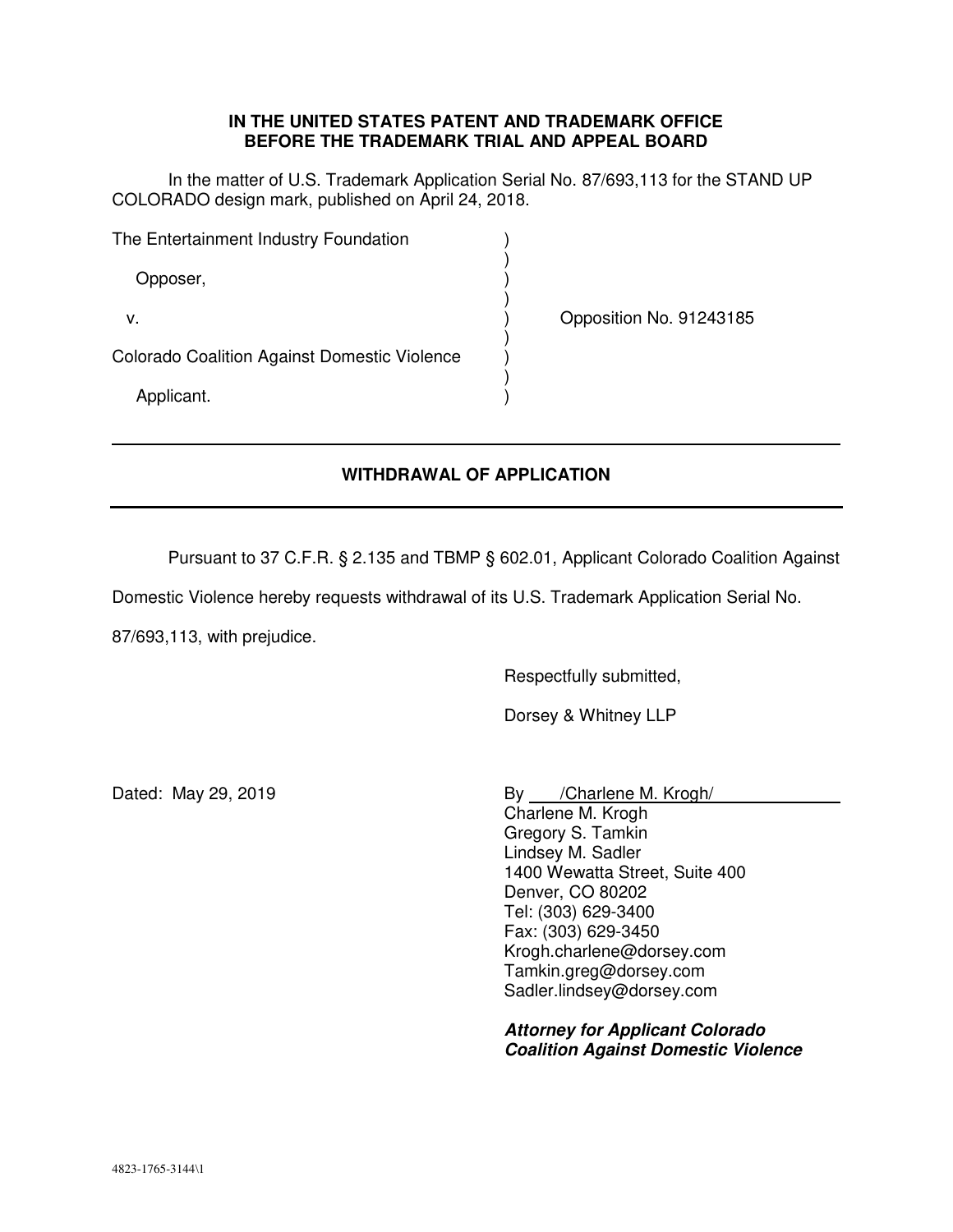## **IN THE UNITED STATES PATENT AND TRADEMARK OFFICE BEFORE THE TRADEMARK TRIAL AND APPEAL BOARD**

 In the matter of U.S. Trademark Application Serial No. 87/693,113 for the STAND UP COLORADO design mark, published on April 24, 2018.

| The Entertainment Industry Foundation               |  |                         |
|-----------------------------------------------------|--|-------------------------|
| Opposer,                                            |  |                         |
| ν.                                                  |  | Opposition No. 91243185 |
| <b>Colorado Coalition Against Domestic Violence</b> |  |                         |
| Applicant.                                          |  |                         |

## **WITHDRAWAL OF APPLICATION**

Pursuant to 37 C.F.R. § 2.135 and TBMP § 602.01, Applicant Colorado Coalition Against

Domestic Violence hereby requests withdrawal of its U.S. Trademark Application Serial No.

87/693,113, with prejudice.

Respectfully submitted,

Dorsey & Whitney LLP

Dated: May 29, 2019 **By** *Charlene M. Krogh*/ Charlene M. Krogh Gregory S. Tamkin Lindsey M. Sadler 1400 Wewatta Street, Suite 400 Denver, CO 80202 Tel: (303) 629-3400 Fax: (303) 629-3450 Krogh.charlene@dorsey.com Tamkin.greg@dorsey.com Sadler.lindsey@dorsey.com

> *Attorney for Applicant Colorado Coalition Against Domestic Violence*